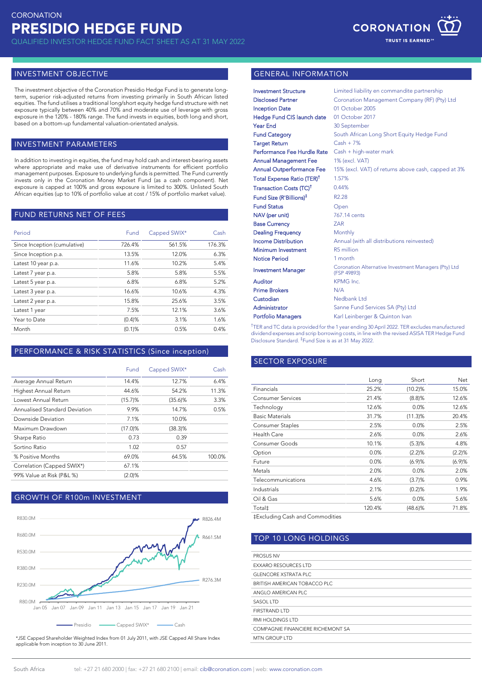

#### INVESTMENT OBJECTIVE

The investment objective of the Coronation Presidio Hedge Fund is to generate longterm, superior risk-adjusted returns from investing primarily in South African listed equities. The fund utilises a traditional long/short equity hedge fund structure with net exposure typically between 40% and 70% and moderate use of leverage with gross exposure in the 120% - 180% range. The fund invests in equities, both long and short, based on a bottom-up fundamental valuation-orientated analysis.

### INVESTMENT PARAMETERS

In addition to investing in equities, the fund may hold cash and interest-bearing assets where appropriate and make use of derivative instruments for efficient portfolio management purposes. Exposure to underlying funds is permitted. The Fund currently invests only in the Coronation Money Market Fund (as a cash component). Net exposure is capped at 100% and gross exposure is limited to 300%. Unlisted South African equities (up to 10% of portfolio value at cost / 15% of portfolio market value).

# FUND RETURNS NET OF FEES

| Period                       | Fund      | Capped SWIX* | Cash   |
|------------------------------|-----------|--------------|--------|
| Since Inception (cumulative) | 726.4%    | 561.5%       | 176.3% |
| Since Inception p.a.         | 13.5%     | 12.0%        | 6.3%   |
| Latest 10 year p.a.          | 11.6%     | 10.2%        | 5.4%   |
| Latest 7 year p.a.           | 5.8%      | 5.8%         | 5.5%   |
| Latest 5 year p.a.           | 6.8%      | 6.8%         | 5.2%   |
| Latest 3 year p.a.           | 16.6%     | 10.6%        | 4.3%   |
| Latest 2 year p.a.           | 15.8%     | 25.6%        | 3.5%   |
| Latest 1 year                | 7.5%      | 12.1%        | 3.6%   |
| Year to Date                 | (0.4)%    | 3.1%         | 1.6%   |
| Month                        | $(0.1)$ % | 0.5%         | 0.4%   |

# PERFORMANCE & RISK STATISTICS (Since inception)

|                               | Fund       | Capped SWIX* | Cash   |
|-------------------------------|------------|--------------|--------|
| Average Annual Return         | 14.4%      | 12.7%        | 6.4%   |
| Highest Annual Return         | 44.6%      | 54.2%        | 11.3%  |
| Lowest Annual Return          | (15.7)%    | $(35.6)$ %   | 3.3%   |
| Annualised Standard Deviation | 9.9%       | 14.7%        | 0.5%   |
| Downside Deviation            | 7.1%       | 10.0%        |        |
| Maximum Drawdown              | $(17.0)$ % | $(38.3)\%$   |        |
| Sharpe Ratio                  | 0.73       | 0.39         |        |
| Sortino Ratio                 | 1.02       | 0.57         |        |
| % Positive Months             | 69.0%      | 64.5%        | 100.0% |
| Correlation (Capped SWIX*)    | 67.1%      |              |        |
| 99% Value at Risk (P&L %)     | (2.0)%     |              |        |

#### GROWTH OF R100m INVESTMENT



\*JSE Capped Shareholder Weighted Index from 01 July 2011, with JSE Capped All Share Index applicable from inception to 30 June 2011.

#### GENERAL INFORMATION

| <b>Investment Structure</b>            | Limited liability en commandite partnership                         |
|----------------------------------------|---------------------------------------------------------------------|
| <b>Disclosed Partner</b>               | Coronation Management Company (RF) (Pty) Ltd                        |
| <b>Inception Date</b>                  | 01 October 2005                                                     |
| <b>Hedge Fund CIS launch date</b>      | 01 October 2017                                                     |
| Year End                               | 30 September                                                        |
| <b>Fund Category</b>                   | South African Long Short Equity Hedge Fund                          |
| <b>Target Return</b>                   | $Cash + 7%$                                                         |
| Performance Fee Hurdle Rate            | Cash + high-water mark                                              |
| <b>Annual Management Fee</b>           | 1% (excl. VAT)                                                      |
| <b>Annual Outperformance Fee</b>       | 15% (excl. VAT) of returns above cash, capped at 3%                 |
| Total Expense Ratio (TER) <sup>†</sup> | 1.57%                                                               |
| Transaction Costs (TC) <sup>†</sup>    | 0.44%                                                               |
| Fund Size (R'Billions) <sup>‡</sup>    | R <sub>2.28</sub>                                                   |
| <b>Fund Status</b>                     | Open                                                                |
| NAV (per unit)                         | 767.14 cents                                                        |
| <b>Base Currency</b>                   | <b>ZAR</b>                                                          |
| <b>Dealing Frequency</b>               | Monthly                                                             |
| <b>Income Distribution</b>             | Annual (with all distributions reinvested)                          |
| Minimum Investment                     | R5 million                                                          |
| <b>Notice Period</b>                   | 1 month                                                             |
| <b>Investment Manager</b>              | Coronation Alternative Investment Managers (Pty) Ltd<br>(FSP 49893) |
| Auditor                                | KPMG Inc.                                                           |
| <b>Prime Brokers</b>                   | N/A                                                                 |
| Custodian                              | Nedbank Ltd                                                         |
| Administrator                          | Sanne Fund Services SA (Pty) Ltd                                    |
| <b>Portfolio Managers</b>              | Karl Leinberger & Quinton Ivan                                      |

<sup>†</sup>TER and TC data is provided for the 1 year ending 30 April 2022. TER excludes manufactured dividend expenses and scrip borrowing costs, in line with the revised ASISA TER Hedge Fund Disclosure Standard. ‡ Fund Size is as at 31 May 2022.

# SECTOR EXPOSURE

|                          | Long   | Short      | Net    |
|--------------------------|--------|------------|--------|
| Financials               | 25.2%  | (10.2)%    | 15.0%  |
| <b>Consumer Services</b> | 21.4%  | $(8.8)$ %  | 12.6%  |
| Technology               | 12.6%  | 0.0%       | 12.6%  |
| <b>Basic Materials</b>   | 31.7%  | (11.3)%    | 20.4%  |
| Consumer Staples         | 2.5%   | 0.0%       | 2.5%   |
| Health Care              | 2.6%   | 0.0%       | 2.6%   |
| Consumer Goods           | 10.1%  | (5.3)%     | 4.8%   |
| Option                   | 0.0%   | (2.2)%     | (2.2)% |
| Future                   | 0.0%   | (6.9)%     | (6.9)% |
| Metals                   | 2.0%   | 0.0%       | 2.0%   |
| Telecommunications       | 4.6%   | (3.7)%     | 0.9%   |
| Industrials              | 2.1%   | (0.2)%     | 1.9%   |
| Oil & Gas                | 5.6%   | 0.0%       | 5.6%   |
| Total‡                   | 120.4% | $(48.6)\%$ | 71.8%  |

‡Excluding Cash and Commodities

#### TOP 10 LONG HOLDINGS

| PROSUS NV                         |
|-----------------------------------|
| <b>EXXARO RESOURCES LTD</b>       |
| GI ENCORE XSTRATA PLC.            |
| BRITISH AMERICAN TOBACCO PLC      |
| ANGLO AMERICAN PLC                |
| SASOL LTD                         |
| FIRSTRAND I TD                    |
| RMI HOI DINGS I TD                |
| COMPAGNIE FINANCIERE RICHEMONT SA |
| MTN GROUP I TD                    |
|                                   |